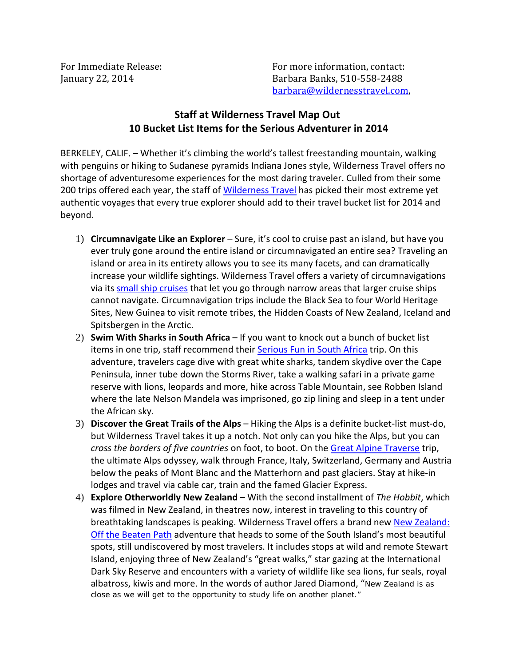For Immediate Release: The Contact: For more information, contact: January 22, 2014 Barbara Banks, 510-558-2488 barbara@wildernesstravel.com,

## **Staff at Wilderness Travel Map Out 10 Bucket List Items for the Serious Adventurer in 2014**

BERKELEY, CALIF. – Whether it's climbing the world's tallest freestanding mountain, walking with penguins or hiking to Sudanese pyramids Indiana Jones style, Wilderness Travel offers no shortage of adventuresome experiences for the most daring traveler. Culled from their some 200 trips offered each year, the staff of [Wilderness Travel](http://www.wildernesstravel.com/) has picked their most extreme yet authentic voyages that every true explorer should add to their travel bucket list for 2014 and beyond.

- 1) **Circumnavigate Like an Explorer** Sure, it's cool to cruise past an island, but have you ever truly gone around the entire island or circumnavigated an entire sea? Traveling an island or area in its entirety allows you to see its many facets, and can dramatically increase your wildlife sightings. Wilderness Travel offers a variety of circumnavigations via its [small ship cruises](http://www.wildernesstravel.com/our-trips/by-boat) that let you go through narrow areas that larger cruise ships cannot navigate. Circumnavigation trips include the Black Sea to four World Heritage Sites, New Guinea to visit remote tribes, the Hidden Coasts of New Zealand, Iceland and Spitsbergen in the Arctic.
- 2) **Swim With Sharks in South Africa** If you want to knock out a bunch of bucket list items in one trip, staff recommend their [Serious Fun in South Africa](http://www.wildernesstravel.com/trip/south-africa/hiking-shark-dive-kayaking-tubing-safari) trip. On this adventure, travelers cage dive with great white sharks, tandem skydive over the Cape Peninsula, inner tube down the Storms River, take a walking safari in a private game reserve with lions, leopards and more, hike across Table Mountain, see Robben Island where the late Nelson Mandela was imprisoned, go zip lining and sleep in a tent under the African sky.
- 3) **Discover the Great Trails of the Alps** Hiking the Alps is a definite bucket-list must-do, but Wilderness Travel takes it up a notch. Not only can you hike the Alps, but you can *cross the borders of five countries* on foot, to boot. On the [Great Alpine Traverse](http://www.wildernesstravel.com/trip/switzerland/alps-matterhorn-mont-blanc-hiking) trip, the ultimate Alps odyssey, walk through France, Italy, Switzerland, Germany and Austria below the peaks of Mont Blanc and the Matterhorn and past glaciers. Stay at hike-in lodges and travel via cable car, train and the famed Glacier Express.
- 4) **Explore Otherworldly New Zealand** With the second installment of *The Hobbit*, which was filmed in New Zealand, in theatres now, interest in traveling to this country of breathtaking landscapes is peaking. Wilderness Travel offers a brand new New Zealand: Off the Beaten Path adventure that heads to some of the South Island's most beautiful spots, still undiscovered by most travelers. It includes stops at wild and remote Stewart Island, enjoying three of New Zealand's "great walks," star gazing at the International Dark Sky Reserve and encounters with a variety of wildlife like sea lions, fur seals, royal albatross, kiwis and more. In the words of author Jared Diamond, "New Zealand is as close as we will get to the opportunity to study life on another planet."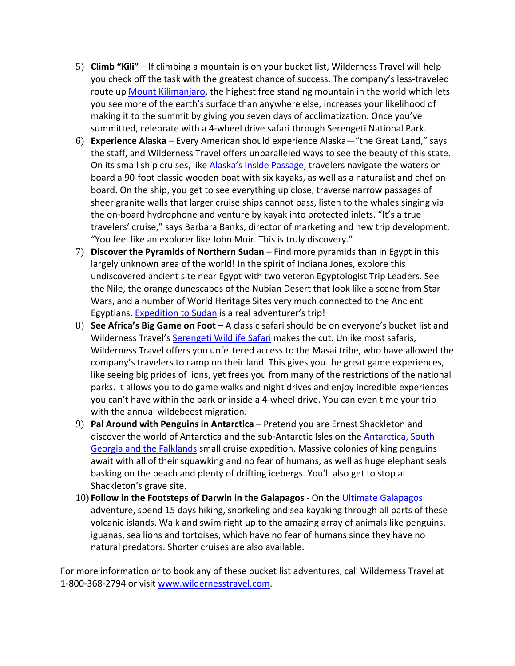- 5) **Climb "Kili"**  If climbing a mountain is on your bucket list, Wilderness Travel will help you check off the task with the greatest chance of success. The company's less-traveled route up [Mount Kilimanjaro](http://www.wildernesstravel.com/trip/tanzania/serengeti-safari-kilimanjaro-climb), the highest free standing mountain in the world which lets you see more of the earth's surface than anywhere else, increases your likelihood of making it to the summit by giving you seven days of acclimatization. Once you've summitted, celebrate with a 4-wheel drive safari through Serengeti National Park.
- 6) **Experience Alaska** Every American should experience Alaska—"the Great Land," says the staff, and Wilderness Travel offers unparalleled ways to see the beauty of this state. On its small ship cruises, like [Alaska's Inside Passage](http://www.wildernesstravel.com/trip/usa/alaska-catalyst-fjords-cruise), travelers navigate the waters on board a 90-foot classic wooden boat with six kayaks, as well as a naturalist and chef on board. On the ship, you get to see everything up close, traverse narrow passages of sheer granite walls that larger cruise ships cannot pass, listen to the whales singing via the on-board hydrophone and venture by kayak into protected inlets. "It's a true travelers' cruise," says Barbara Banks, director of marketing and new trip development. "You feel like an explorer like John Muir. This is truly discovery."
- 7) **Discover the Pyramids of Northern Sudan**  Find more pyramids than in Egypt in this largely unknown area of the world! In the spirit of Indiana Jones, explore this undiscovered ancient site near Egypt with two veteran Egyptologist Trip Leaders. See the Nile, the orange dunescapes of the Nubian Desert that look like a scene from Star Wars, and a number of World Heritage Sites very much connected to the Ancient Egyptians. [Expedition to Sudan](http://www.wildernesstravel.com/trip/sudan/meroe-pyramid-jebel-berkal-nubian-desert-camping) is a real adventurer's trip!
- 8) **See Africa's Big Game on Foot** A classic safari should be on everyone's bucket list and Wilderness Travel's [Serengeti Wildlife Safari](http://www.wildernesstravel.com/trip/tanzania/serengeti-wildlife-safari) makes the cut. Unlike most safaris, Wilderness Travel offers you unfettered access to the Masai tribe, who have allowed the company's travelers to camp on their land. This gives you the great game experiences, like seeing big prides of lions, yet frees you from many of the restrictions of the national parks. It allows you to do game walks and night drives and enjoy incredible experiences you can't have within the park or inside a 4-wheel drive. You can even time your trip with the annual wildebeest migration.
- 9) **Pal Around with Penguins in Antarctica**  Pretend you are Ernest Shackleton and discover the world of Antarctica and the sub-Antarctic Isles on the Antarctica, South [Georgia and the Falklands small cruise expedition. Massive colonies of king penguins](http://www.wildernesstravel.com/trip/antarctica/antarctica-falklands-south-georgia-cruise) await with all of their squawking and no fear of humans, as well as huge elephant seals basking on the beach and plenty of drifting icebergs. You'll also get to stop at Shackleton's grave site.
- 10) **Follow in the Footsteps of Darwin in the Galapagos**  On the [Ultimate Galapagos](http://www.wildernesstravel.com/trip/ecuador/galapagos-islands-floreana-isabela-tower-yacht-tour) adventure, spend 15 days hiking, snorkeling and sea kayaking through all parts of these volcanic islands. Walk and swim right up to the amazing array of animals like penguins, iguanas, sea lions and tortoises, which have no fear of humans since they have no natural predators. Shorter cruises are also available.

For more information or to book any of these bucket list adventures, call Wilderness Travel at 1-800-368-2794 or visit www.wildernesstravel.com.